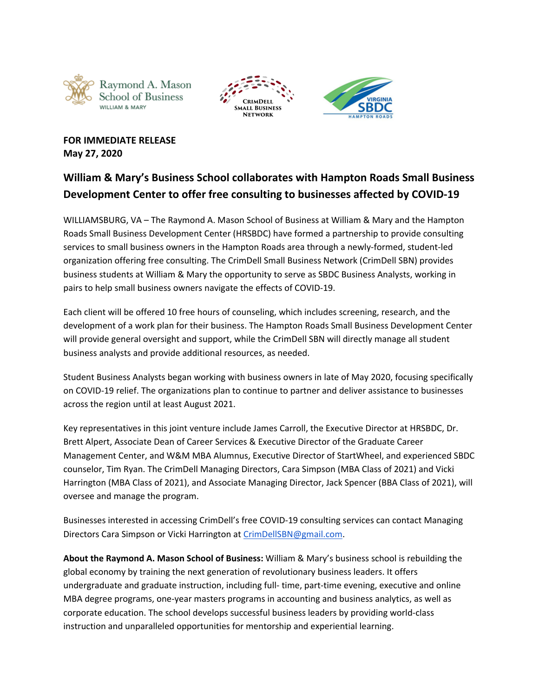





**FOR IMMEDIATE RELEASE May 27, 2020**

## **William & Mary's Business School collaborates with Hampton Roads Small Business Development Center to offer free consulting to businesses affected by COVID-19**

WILLIAMSBURG, VA – The Raymond A. Mason School of Business at William & Mary and the Hampton Roads Small Business Development Center (HRSBDC) have formed a partnership to provide consulting services to small business owners in the Hampton Roads area through a newly-formed, student-led organization offering free consulting. The CrimDell Small Business Network (CrimDell SBN) provides business students at William & Mary the opportunity to serve as SBDC Business Analysts, working in pairs to help small business owners navigate the effects of COVID-19.

Each client will be offered 10 free hours of counseling, which includes screening, research, and the development of a work plan for their business. The Hampton Roads Small Business Development Center will provide general oversight and support, while the CrimDell SBN will directly manage all student business analysts and provide additional resources, as needed.

Student Business Analysts began working with business owners in late of May 2020, focusing specifically on COVID-19 relief. The organizations plan to continue to partner and deliver assistance to businesses across the region until at least August 2021.

Key representatives in this joint venture include James Carroll, the Executive Director at HRSBDC, Dr. Brett Alpert, Associate Dean of Career Services & Executive Director of the Graduate Career Management Center, and W&M MBA Alumnus, Executive Director of StartWheel, and experienced SBDC counselor, Tim Ryan. The CrimDell Managing Directors, Cara Simpson (MBA Class of 2021) and Vicki Harrington (MBA Class of 2021), and Associate Managing Director, Jack Spencer (BBA Class of 2021), will oversee and manage the program.

Businesses interested in accessing CrimDell's free COVID-19 consulting services can contact Managing Directors Cara Simpson or Vicki Harrington at [CrimDellSBN@gmail.com](mailto:CrimDellSBN@gmail.com).

**About the Raymond A. Mason School of Business:** William & Mary's business school is rebuilding the global economy by training the next generation of revolutionary business leaders. It offers undergraduate and graduate instruction, including full- time, part-time evening, executive and online MBA degree programs, one-year masters programs in accounting and business analytics, as well as corporate education. The school develops successful business leaders by providing world-class instruction and unparalleled opportunities for mentorship and experiential learning.